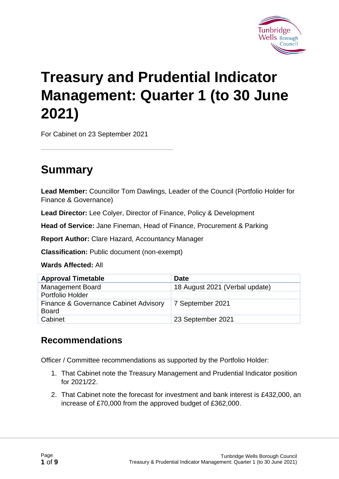

# **Treasury and Prudential Indicator Management: Quarter 1 (to 30 June 2021)**

For Cabinet on 23 September 2021

# **Summary**

**Lead Member:** Councillor Tom Dawlings, Leader of the Council (Portfolio Holder for Finance & Governance)

**Lead Director:** Lee Colyer, Director of Finance, Policy & Development

**Head of Service:** Jane Fineman, Head of Finance, Procurement & Parking

**Report Author:** Clare Hazard, Accountancy Manager

**Classification:** Public document (non-exempt)

**Wards Affected:** All

| <b>Approval Timetable</b>                             | <b>Date</b>                    |
|-------------------------------------------------------|--------------------------------|
| <b>Management Board</b>                               | 18 August 2021 (Verbal update) |
| Portfolio Holder                                      |                                |
| Finance & Governance Cabinet Advisory<br><b>Board</b> | 7 September 2021               |
| Cabinet                                               | 23 September 2021              |

#### **Recommendations**

Officer / Committee recommendations as supported by the Portfolio Holder:

- 1. That Cabinet note the Treasury Management and Prudential Indicator position for 2021/22.
- 2. That Cabinet note the forecast for investment and bank interest is £432,000, an increase of £70,000 from the approved budget of £362,000.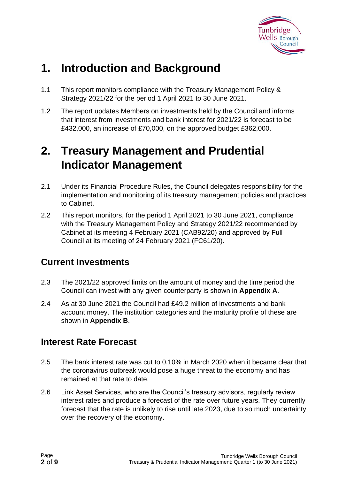

# **1. Introduction and Background**

- 1.1 This report monitors compliance with the Treasury Management Policy & Strategy 2021/22 for the period 1 April 2021 to 30 June 2021.
- 1.2 The report updates Members on investments held by the Council and informs that interest from investments and bank interest for 2021/22 is forecast to be £432,000, an increase of £70,000, on the approved budget £362,000.

# **2. Treasury Management and Prudential Indicator Management**

- 2.1 Under its Financial Procedure Rules, the Council delegates responsibility for the implementation and monitoring of its treasury management policies and practices to Cabinet.
- 2.2 This report monitors, for the period 1 April 2021 to 30 June 2021, compliance with the Treasury Management Policy and Strategy 2021/22 recommended by Cabinet at its meeting 4 February 2021 (CAB92/20) and approved by Full Council at its meeting of 24 February 2021 (FC61/20).

#### **Current Investments**

- 2.3 The 2021/22 approved limits on the amount of money and the time period the Council can invest with any given counterparty is shown in **Appendix A**.
- 2.4 As at 30 June 2021 the Council had £49.2 million of investments and bank account money. The institution categories and the maturity profile of these are shown in **Appendix B**.

#### **Interest Rate Forecast**

- 2.5 The bank interest rate was cut to 0.10% in March 2020 when it became clear that the coronavirus outbreak would pose a huge threat to the economy and has remained at that rate to date.
- 2.6 Link Asset Services, who are the Council's treasury advisors, regularly review interest rates and produce a forecast of the rate over future years. They currently forecast that the rate is unlikely to rise until late 2023, due to so much uncertainty over the recovery of the economy.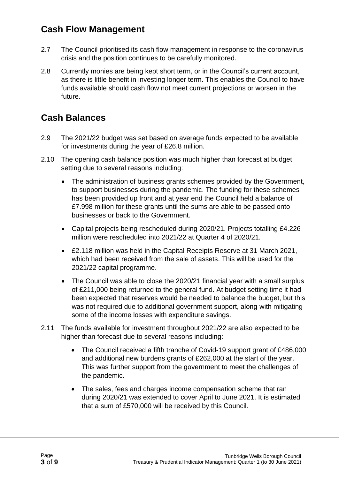#### **Cash Flow Management**

- 2.7 The Council prioritised its cash flow management in response to the coronavirus crisis and the position continues to be carefully monitored.
- 2.8 Currently monies are being kept short term, or in the Council's current account, as there is little benefit in investing longer term. This enables the Council to have funds available should cash flow not meet current projections or worsen in the future.

### **Cash Balances**

- 2.9 The 2021/22 budget was set based on average funds expected to be available for investments during the year of £26.8 million.
- 2.10 The opening cash balance position was much higher than forecast at budget setting due to several reasons including:
	- The administration of business grants schemes provided by the Government, to support businesses during the pandemic. The funding for these schemes has been provided up front and at year end the Council held a balance of £7.998 million for these grants until the sums are able to be passed onto businesses or back to the Government.
	- Capital projects being rescheduled during 2020/21. Projects totalling £4.226 million were rescheduled into 2021/22 at Quarter 4 of 2020/21.
	- £2.118 million was held in the Capital Receipts Reserve at 31 March 2021, which had been received from the sale of assets. This will be used for the 2021/22 capital programme.
	- The Council was able to close the 2020/21 financial year with a small surplus of £211,000 being returned to the general fund. At budget setting time it had been expected that reserves would be needed to balance the budget, but this was not required due to additional government support, along with mitigating some of the income losses with expenditure savings.
- 2.11 The funds available for investment throughout 2021/22 are also expected to be higher than forecast due to several reasons including:
	- The Council received a fifth tranche of Covid-19 support grant of £486,000 and additional new burdens grants of £262,000 at the start of the year. This was further support from the government to meet the challenges of the pandemic.
	- The sales, fees and charges income compensation scheme that ran during 2020/21 was extended to cover April to June 2021. It is estimated that a sum of £570,000 will be received by this Council.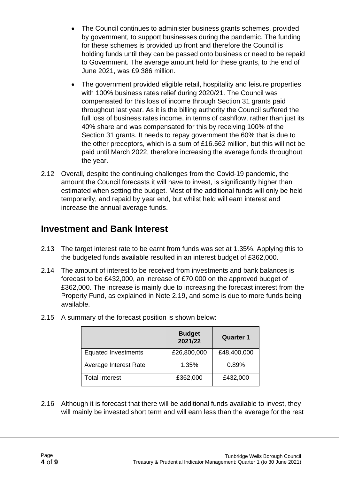- The Council continues to administer business grants schemes, provided by government, to support businesses during the pandemic. The funding for these schemes is provided up front and therefore the Council is holding funds until they can be passed onto business or need to be repaid to Government. The average amount held for these grants, to the end of June 2021, was £9.386 million.
- The government provided eligible retail, hospitality and leisure properties with 100% business rates relief during 2020/21. The Council was compensated for this loss of income through Section 31 grants paid throughout last year. As it is the billing authority the Council suffered the full loss of business rates income, in terms of cashflow, rather than just its 40% share and was compensated for this by receiving 100% of the Section 31 grants. It needs to repay government the 60% that is due to the other preceptors, which is a sum of £16.562 million, but this will not be paid until March 2022, therefore increasing the average funds throughout the year.
- 2.12 Overall, despite the continuing challenges from the Covid-19 pandemic, the amount the Council forecasts it will have to invest, is significantly higher than estimated when setting the budget. Most of the additional funds will only be held temporarily, and repaid by year end, but whilst held will earn interest and increase the annual average funds.

#### **Investment and Bank Interest**

- 2.13 The target interest rate to be earnt from funds was set at 1.35%. Applying this to the budgeted funds available resulted in an interest budget of £362,000.
- 2.14 The amount of interest to be received from investments and bank balances is forecast to be £432,000, an increase of £70,000 on the approved budget of £362,000. The increase is mainly due to increasing the forecast interest from the Property Fund, as explained in Note 2.19, and some is due to more funds being available.

|                            | <b>Budget</b><br>2021/22 | <b>Quarter 1</b> |
|----------------------------|--------------------------|------------------|
| <b>Equated Investments</b> | £26,800,000              | £48,400,000      |
| Average Interest Rate      | 1.35%                    | 0.89%            |
| <b>Total Interest</b>      | £362,000                 | £432,000         |

2.15 A summary of the forecast position is shown below:

2.16 Although it is forecast that there will be additional funds available to invest, they will mainly be invested short term and will earn less than the average for the rest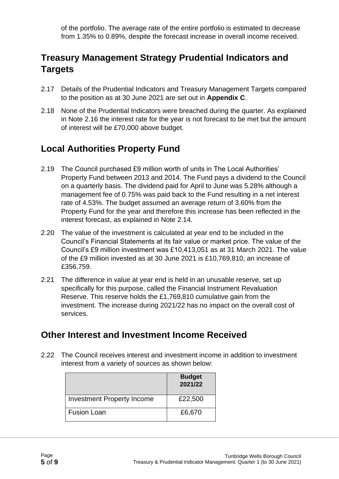of the portfolio. The average rate of the entire portfolio is estimated to decrease from 1.35% to 0.89%, despite the forecast increase in overall income received.

### **Treasury Management Strategy Prudential Indicators and Targets**

- 2.17 Details of the Prudential Indicators and Treasury Management Targets compared to the position as at 30 June 2021 are set out in **Appendix C**.
- 2.18 None of the Prudential Indicators were breached during the quarter. As explained in Note 2.16 the interest rate for the year is not forecast to be met but the amount of interest will be £70,000 above budget.

### **Local Authorities Property Fund**

- 2.19 The Council purchased £9 million worth of units in The Local Authorities' Property Fund between 2013 and 2014. The Fund pays a dividend to the Council on a quarterly basis. The dividend paid for April to June was 5.28% although a management fee of 0.75% was paid back to the Fund resulting in a net interest rate of 4.53%. The budget assumed an average return of 3.60% from the Property Fund for the year and therefore this increase has been reflected in the interest forecast, as explained in Note 2.14.
- 2.20 The value of the investment is calculated at year end to be included in the Council's Financial Statements at its fair value or market price. The value of the Council's £9 million investment was £10,413,051 as at 31 March 2021. The value of the £9 million invested as at 30 June 2021 is £10,769,810, an increase of £356,759.
- 2.21 The difference in value at year end is held in an unusable reserve, set up specifically for this purpose, called the Financial Instrument Revaluation Reserve. This reserve holds the £1,769,810 cumulative gain from the investment. The increase during 2021/22 has no impact on the overall cost of services.

#### **Other Interest and Investment Income Received**

2.22 The Council receives interest and investment income in addition to investment interest from a variety of sources as shown below:

|                                   | <b>Budget</b><br>2021/22 |
|-----------------------------------|--------------------------|
| <b>Investment Property Income</b> | £22,500                  |
| <b>Fusion Loan</b>                | £6,670                   |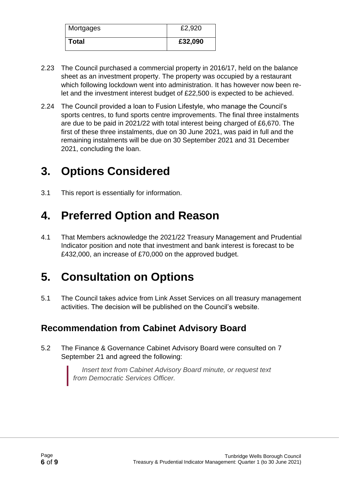| Mortgages    | £2,920  |
|--------------|---------|
| <b>Total</b> | £32,090 |

- 2.23 The Council purchased a commercial property in 2016/17, held on the balance sheet as an investment property. The property was occupied by a restaurant which following lockdown went into administration. It has however now been relet and the investment interest budget of £22,500 is expected to be achieved.
- 2.24 The Council provided a loan to Fusion Lifestyle, who manage the Council's sports centres, to fund sports centre improvements. The final three instalments are due to be paid in 2021/22 with total interest being charged of £6,670. The first of these three instalments, due on 30 June 2021, was paid in full and the remaining instalments will be due on 30 September 2021 and 31 December 2021, concluding the loan.

# **3. Options Considered**

3.1 This report is essentially for information.

# **4. Preferred Option and Reason**

4.1 That Members acknowledge the 2021/22 Treasury Management and Prudential Indicator position and note that investment and bank interest is forecast to be £432,000, an increase of £70,000 on the approved budget.

# **5. Consultation on Options**

5.1 The Council takes advice from Link Asset Services on all treasury management activities. The decision will be published on the Council's website.

### **Recommendation from Cabinet Advisory Board**

5.2 The Finance & Governance Cabinet Advisory Board were consulted on 7 September 21 and agreed the following:

> *Insert text from Cabinet Advisory Board minute, or request text from Democratic Services Officer.*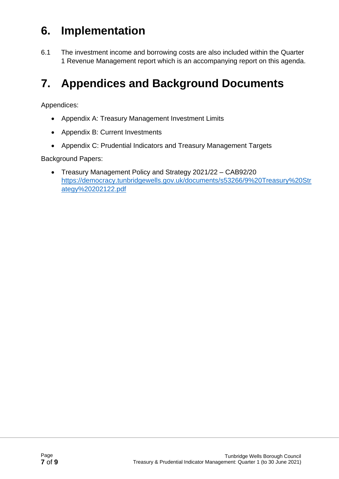# **6. Implementation**

6.1 The investment income and borrowing costs are also included within the Quarter 1 Revenue Management report which is an accompanying report on this agenda.

# **7. Appendices and Background Documents**

Appendices:

- Appendix A: Treasury Management Investment Limits
- Appendix B: Current Investments
- Appendix C: Prudential Indicators and Treasury Management Targets

Background Papers:

• Treasury Management Policy and Strategy 2021/22 – CAB92/20 [https://democracy.tunbridgewells.gov.uk/documents/s53266/9%20Treasury%20Str](https://democracy.tunbridgewells.gov.uk/documents/s53266/9%20Treasury%20Strategy%20202122.pdf) [ategy%20202122.pdf](https://democracy.tunbridgewells.gov.uk/documents/s53266/9%20Treasury%20Strategy%20202122.pdf)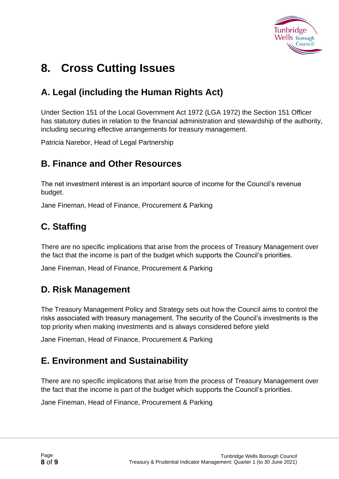

# **8. Cross Cutting Issues**

### **A. Legal (including the Human Rights Act)**

Under Section 151 of the Local Government Act 1972 (LGA 1972) the Section 151 Officer has statutory duties in relation to the financial administration and stewardship of the authority, including securing effective arrangements for treasury management.

Patricia Narebor, Head of Legal Partnership

#### **B. Finance and Other Resources**

The net investment interest is an important source of income for the Council's revenue budget.

Jane Fineman, Head of Finance, Procurement & Parking

### **C. Staffing**

There are no specific implications that arise from the process of Treasury Management over the fact that the income is part of the budget which supports the Council's priorities.

Jane Fineman, Head of Finance, Procurement & Parking

#### **D. Risk Management**

The Treasury Management Policy and Strategy sets out how the Council aims to control the risks associated with treasury management. The security of the Council's investments is the top priority when making investments and is always considered before yield

Jane Fineman, Head of Finance, Procurement & Parking

#### **E. Environment and Sustainability**

There are no specific implications that arise from the process of Treasury Management over the fact that the income is part of the budget which supports the Council's priorities.

Jane Fineman, Head of Finance, Procurement & Parking